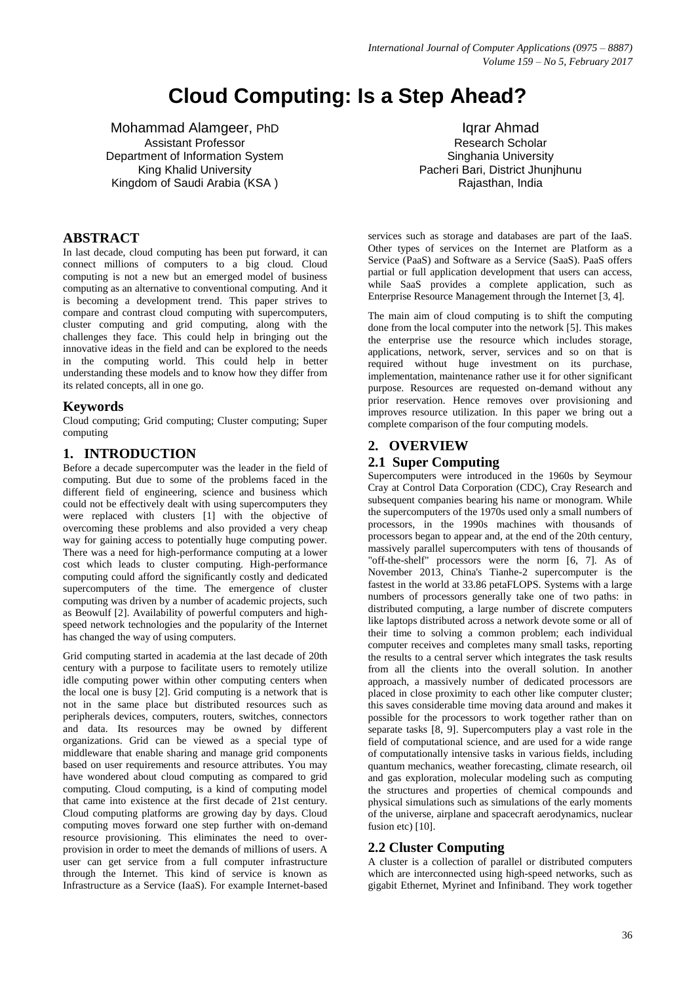# **Cloud Computing: Is a Step Ahead?**

Mohammad Alamgeer, PhD Assistant Professor Department of Information System King Khalid University Kingdom of Saudi Arabia (KSA )

#### **ABSTRACT**

In last decade, cloud computing has been put forward, it can connect millions of computers to a big cloud. Cloud computing is not a new but an emerged model of business computing as an alternative to conventional computing. And it is becoming a development trend. This paper strives to compare and contrast cloud computing with supercomputers, cluster computing and grid computing, along with the challenges they face. This could help in bringing out the innovative ideas in the field and can be explored to the needs in the computing world. This could help in better understanding these models and to know how they differ from its related concepts, all in one go.

### **Keywords**

Cloud computing; Grid computing; Cluster computing; Super computing

## **1. INTRODUCTION**

Before a decade supercomputer was the leader in the field of computing. But due to some of the problems faced in the different field of engineering, science and business which could not be effectively dealt with using supercomputers they were replaced with clusters [1] with the objective of overcoming these problems and also provided a very cheap way for gaining access to potentially huge computing power. There was a need for high-performance computing at a lower cost which leads to cluster computing. High-performance computing could afford the significantly costly and dedicated supercomputers of the time. The emergence of cluster computing was driven by a number of academic projects, such as Beowulf [2]. Availability of powerful computers and highspeed network technologies and the popularity of the Internet has changed the way of using computers.

Grid computing started in academia at the last decade of 20th century with a purpose to facilitate users to remotely utilize idle computing power within other computing centers when the local one is busy [2]. Grid computing is a network that is not in the same place but distributed resources such as peripherals devices, computers, routers, switches, connectors and data. Its resources may be owned by different organizations. Grid can be viewed as a special type of middleware that enable sharing and manage grid components based on user requirements and resource attributes. You may have wondered about cloud computing as compared to grid computing. Cloud computing, is a kind of computing model that came into existence at the first decade of 21st century. Cloud computing platforms are growing day by days. Cloud computing moves forward one step further with on-demand resource provisioning. This eliminates the need to overprovision in order to meet the demands of millions of users. A user can get service from a full computer infrastructure through the Internet. This kind of service is known as Infrastructure as a Service (IaaS). For example Internet-based

Iqrar Ahmad Research Scholar Singhania University Pacheri Bari, District Jhunjhunu Rajasthan, India

services such as storage and databases are part of the IaaS. Other types of services on the Internet are Platform as a Service (PaaS) and Software as a Service (SaaS). PaaS offers partial or full application development that users can access, while SaaS provides a complete application, such as Enterprise Resource Management through the Internet [3, 4].

The main aim of cloud computing is to shift the computing done from the local computer into the network [5]. This makes the enterprise use the resource which includes storage, applications, network, server, services and so on that is required without huge investment on its purchase, implementation, maintenance rather use it for other significant purpose. Resources are requested on-demand without any prior reservation. Hence removes over provisioning and improves resource utilization. In this paper we bring out a complete comparison of the four computing models.

### **2. OVERVIEW**

## **2.1 Super Computing**

Supercomputers were introduced in the 1960s by Seymour Cray at Control Data Corporation (CDC), Cray Research and subsequent companies bearing his name or monogram. While the supercomputers of the 1970s used only a small numbers of processors, in the 1990s machines with thousands of processors began to appear and, at the end of the 20th century, massively parallel supercomputers with tens of thousands of "off-the-shelf" processors were the norm [6, 7]. As of November 2013, China's Tianhe-2 supercomputer is the fastest in the world at 33.86 petaFLOPS. Systems with a large numbers of processors generally take one of two paths: in distributed computing, a large number of discrete computers like laptops distributed across a network devote some or all of their time to solving a common problem; each individual computer receives and completes many small tasks, reporting the results to a central server which integrates the task results from all the clients into the overall solution. In another approach, a massively number of dedicated processors are placed in close proximity to each other like computer cluster; this saves considerable time moving data around and makes it possible for the processors to work together rather than on separate tasks [8, 9]. Supercomputers play a vast role in the field of computational science, and are used for a wide range of computationally intensive tasks in various fields, including quantum mechanics, weather forecasting, climate research, oil and gas exploration, molecular modeling such as computing the structures and properties of chemical compounds and physical simulations such as simulations of the early moments of the universe, airplane and spacecraft aerodynamics, nuclear fusion etc) [10].

## **2.2 Cluster Computing**

A cluster is a collection of parallel or distributed computers which are interconnected using high-speed networks, such as gigabit Ethernet, Myrinet and Infiniband. They work together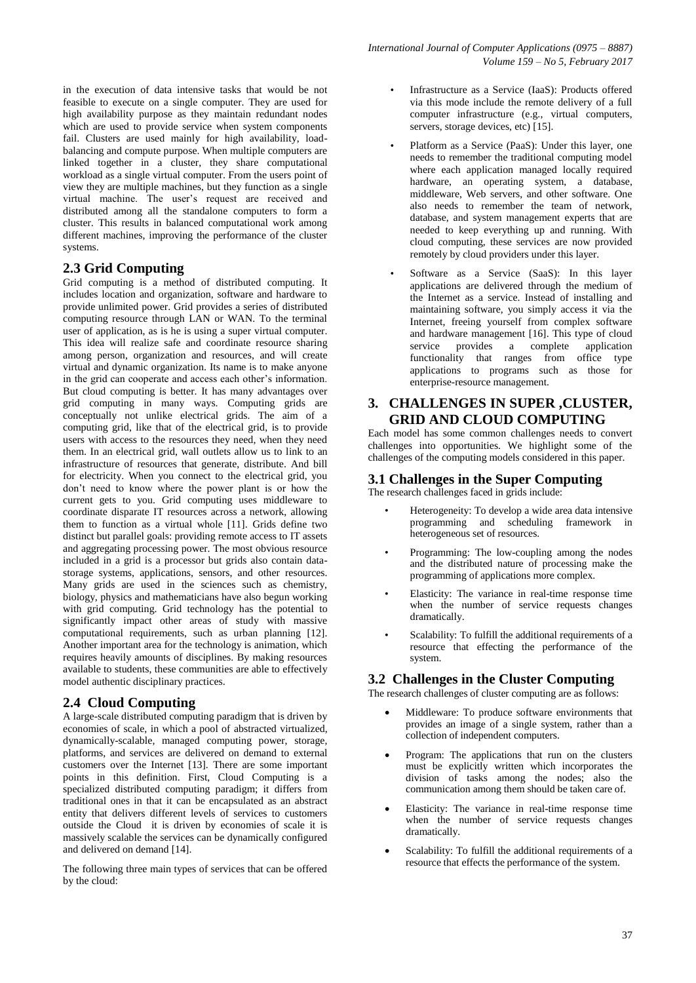in the execution of data intensive tasks that would be not feasible to execute on a single computer. They are used for high availability purpose as they maintain redundant nodes which are used to provide service when system components fail. Clusters are used mainly for high availability, loadbalancing and compute purpose. When multiple computers are linked together in a cluster, they share computational workload as a single virtual computer. From the users point of view they are multiple machines, but they function as a single virtual machine. The user's request are received and distributed among all the standalone computers to form a cluster. This results in balanced computational work among different machines, improving the performance of the cluster systems.

# **2.3 Grid Computing**

Grid computing is a method of distributed computing. It includes location and organization, software and hardware to provide unlimited power. Grid provides a series of distributed computing resource through LAN or WAN. To the terminal user of application, as is he is using a super virtual computer. This idea will realize safe and coordinate resource sharing among person, organization and resources, and will create virtual and dynamic organization. Its name is to make anyone in the grid can cooperate and access each other's information. But cloud computing is better. It has many advantages over grid computing in many ways. Computing grids are conceptually not unlike electrical grids. The aim of a computing grid, like that of the electrical grid, is to provide users with access to the resources they need, when they need them. In an electrical grid, wall outlets allow us to link to an infrastructure of resources that generate, distribute. And bill for electricity. When you connect to the electrical grid, you don't need to know where the power plant is or how the current gets to you. Grid computing uses middleware to coordinate disparate IT resources across a network, allowing them to function as a virtual whole [11]. Grids define two distinct but parallel goals: providing remote access to IT assets and aggregating processing power. The most obvious resource included in a grid is a processor but grids also contain datastorage systems, applications, sensors, and other resources. Many grids are used in the sciences such as chemistry, biology, physics and mathematicians have also begun working with grid computing. Grid technology has the potential to significantly impact other areas of study with massive computational requirements, such as urban planning [12]. Another important area for the technology is animation, which requires heavily amounts of disciplines. By making resources available to students, these communities are able to effectively model authentic disciplinary practices.

# **2.4 Cloud Computing**

A large-scale distributed computing paradigm that is driven by economies of scale, in which a pool of abstracted virtualized, dynamically-scalable, managed computing power, storage, platforms, and services are delivered on demand to external customers over the Internet [13]. There are some important points in this definition. First, Cloud Computing is a specialized distributed computing paradigm; it differs from traditional ones in that it can be encapsulated as an abstract entity that delivers different levels of services to customers outside the Cloud it is driven by economies of scale it is massively scalable the services can be dynamically configured and delivered on demand [14].

The following three main types of services that can be offered by the cloud:

- Infrastructure as a Service (IaaS): Products offered via this mode include the remote delivery of a full computer infrastructure (e.g., virtual computers, servers, storage devices, etc) [15].
- Platform as a Service (PaaS): Under this layer, one needs to remember the traditional computing model where each application managed locally required hardware, an operating system, a database, middleware, Web servers, and other software. One also needs to remember the team of network, database, and system management experts that are needed to keep everything up and running. With cloud computing, these services are now provided remotely by cloud providers under this layer.
- Software as a Service (SaaS): In this layer applications are delivered through the medium of the Internet as a service. Instead of installing and maintaining software, you simply access it via the Internet, freeing yourself from complex software and hardware management [16]. This type of cloud<br>service provides a complete application service provides a complete application functionality that ranges from office type applications to programs such as those for enterprise-resource management.

## **3. CHALLENGES IN SUPER ,CLUSTER, GRID AND CLOUD COMPUTING**

Each model has some common challenges needs to convert challenges into opportunities. We highlight some of the challenges of the computing models considered in this paper.

# **3.1 Challenges in the Super Computing**

The research challenges faced in grids include:

- Heterogeneity: To develop a wide area data intensive programming and scheduling framework in heterogeneous set of resources.
- Programming: The low-coupling among the nodes and the distributed nature of processing make the programming of applications more complex.
- Elasticity: The variance in real-time response time when the number of service requests changes dramatically.
- Scalability: To fulfill the additional requirements of a resource that effecting the performance of the system.

## **3.2 Challenges in the Cluster Computing**

The research challenges of cluster computing are as follows:

- Middleware: To produce software environments that provides an image of a single system, rather than a collection of independent computers.
- Program: The applications that run on the clusters must be explicitly written which incorporates the division of tasks among the nodes; also the communication among them should be taken care of.
- Elasticity: The variance in real-time response time when the number of service requests changes dramatically.
- Scalability: To fulfill the additional requirements of a resource that effects the performance of the system.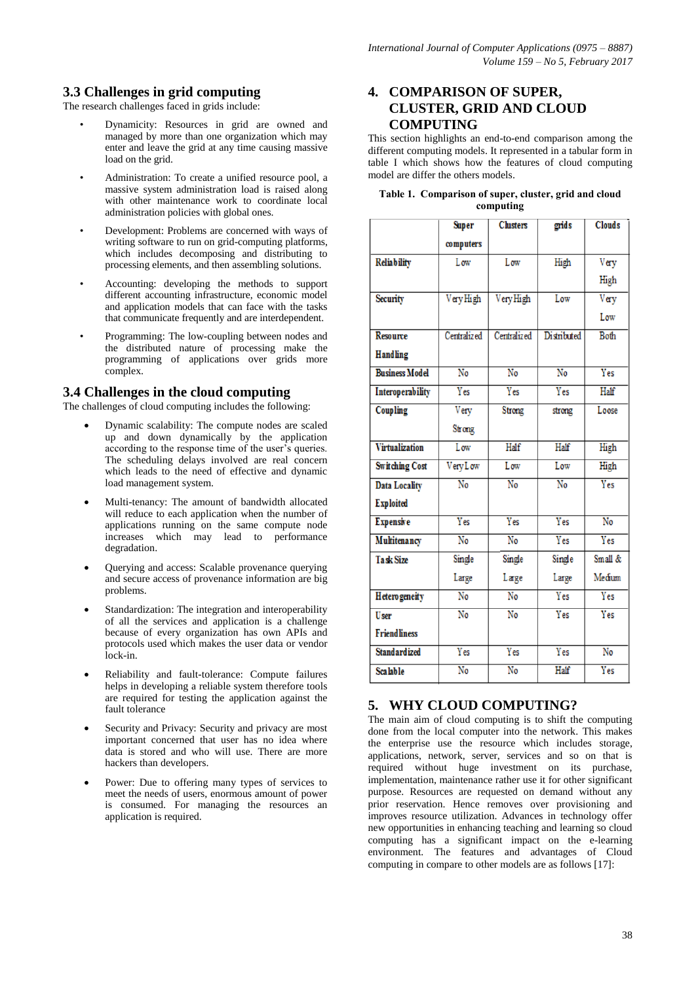# **3.3 Challenges in grid computing**

The research challenges faced in grids include:

- Dynamicity: Resources in grid are owned and managed by more than one organization which may enter and leave the grid at any time causing massive load on the grid.
- Administration: To create a unified resource pool, a massive system administration load is raised along with other maintenance work to coordinate local administration policies with global ones.
- Development: Problems are concerned with ways of writing software to run on grid-computing platforms, which includes decomposing and distributing to processing elements, and then assembling solutions.
- Accounting: developing the methods to support different accounting infrastructure, economic model and application models that can face with the tasks that communicate frequently and are interdependent.
- Programming: The low-coupling between nodes and the distributed nature of processing make the programming of applications over grids more complex.

### **3.4 Challenges in the cloud computing**

The challenges of cloud computing includes the following:

- Dynamic scalability: The compute nodes are scaled up and down dynamically by the application according to the response time of the user's queries. The scheduling delays involved are real concern which leads to the need of effective and dynamic load management system.
- Multi-tenancy: The amount of bandwidth allocated will reduce to each application when the number of applications running on the same compute node increases which may lead to performance degradation.
- Querying and access: Scalable provenance querying and secure access of provenance information are big problems.
- Standardization: The integration and interoperability of all the services and application is a challenge because of every organization has own APIs and protocols used which makes the user data or vendor lock-in.
- Reliability and fault-tolerance: Compute failures helps in developing a reliable system therefore tools are required for testing the application against the fault tolerance
- Security and Privacy: Security and privacy are most important concerned that user has no idea where data is stored and who will use. There are more hackers than developers.
- Power: Due to offering many types of services to meet the needs of users, enormous amount of power is consumed. For managing the resources an application is required.

## **4. COMPARISON OF SUPER, CLUSTER, GRID AND CLOUD COMPUTING**

This section highlights an end-to-end comparison among the different computing models. It represented in a tabular form in table I which shows how the features of cloud computing model are differ the others models.

| Table 1. Comparison of super, cluster, grid and cloud |
|-------------------------------------------------------|
| computing                                             |

|                       | <b>Super</b>           | <b>Clusters</b>        | grids            | <b>Clouds</b>      |
|-----------------------|------------------------|------------------------|------------------|--------------------|
|                       | computers              |                        |                  |                    |
| <b>Reliability</b>    | Low                    | Low                    | High             | Very               |
|                       |                        |                        |                  | High               |
| <b>Security</b>       | VeryHigh               | VeryHigh               | Low              | $\overline{v}$ ery |
|                       |                        |                        |                  | Low                |
| Resource              | Centralized            | Centralized            | Distributed      | Both               |
| Handling              |                        |                        |                  |                    |
| <b>Business Model</b> | $\overline{N_0}$       | $\overline{N_{0}}$     | $\overline{N_0}$ | <b>Yes</b>         |
| Interoperability      | $\overline{Y}$ es      | <b>Yes</b>             | Yes              | Half               |
| Coupling              | Very                   | Strong                 | strong           | Loose              |
|                       | Strong                 |                        |                  |                    |
| <b>Virtualization</b> | Low                    | Half                   | Half             | High               |
| <b>Switching Cost</b> | VeryLow                | Low                    | Low              | High               |
| <b>Data Locality</b>  | No                     | No                     | No               | Yes                |
| <b>Exploited</b>      |                        |                        |                  |                    |
| <b>Expensive</b>      | $\overline{Y}$ es      | $\overline{Yes}$       | Yes              | $\overline{No}$    |
| Multitenancy          | $\overline{\text{No}}$ | $\overline{N_{0}}$     | Yes              | <b>Yes</b>         |
| <b>Task Size</b>      | Single                 | Single                 | Single           | Small &            |
|                       | Large                  | Large                  | Large            | Medium             |
| <b>Heterogeneity</b>  | $\overline{\text{No}}$ | $\overline{\text{No}}$ | Yes              | Yes                |
| User                  | $\overline{\text{No}}$ | No                     | Yes              | Yes                |
| <b>Friendliness</b>   |                        |                        |                  |                    |
| <b>Standardized</b>   | <b>Yes</b>             | Yes                    | Yes              | $\overline{N_{0}}$ |
| <b>Scalable</b>       | $\overline{\text{No}}$ | $\overline{\text{No}}$ | Half             | Yes                |

## **5. WHY CLOUD COMPUTING?**

The main aim of cloud computing is to shift the computing done from the local computer into the network. This makes the enterprise use the resource which includes storage, applications, network, server, services and so on that is required without huge investment on its purchase, implementation, maintenance rather use it for other significant purpose. Resources are requested on demand without any prior reservation. Hence removes over provisioning and improves resource utilization. Advances in technology offer new opportunities in enhancing teaching and learning so cloud computing has a significant impact on the e-learning environment. The features and advantages of Cloud computing in compare to other models are as follows [17]: